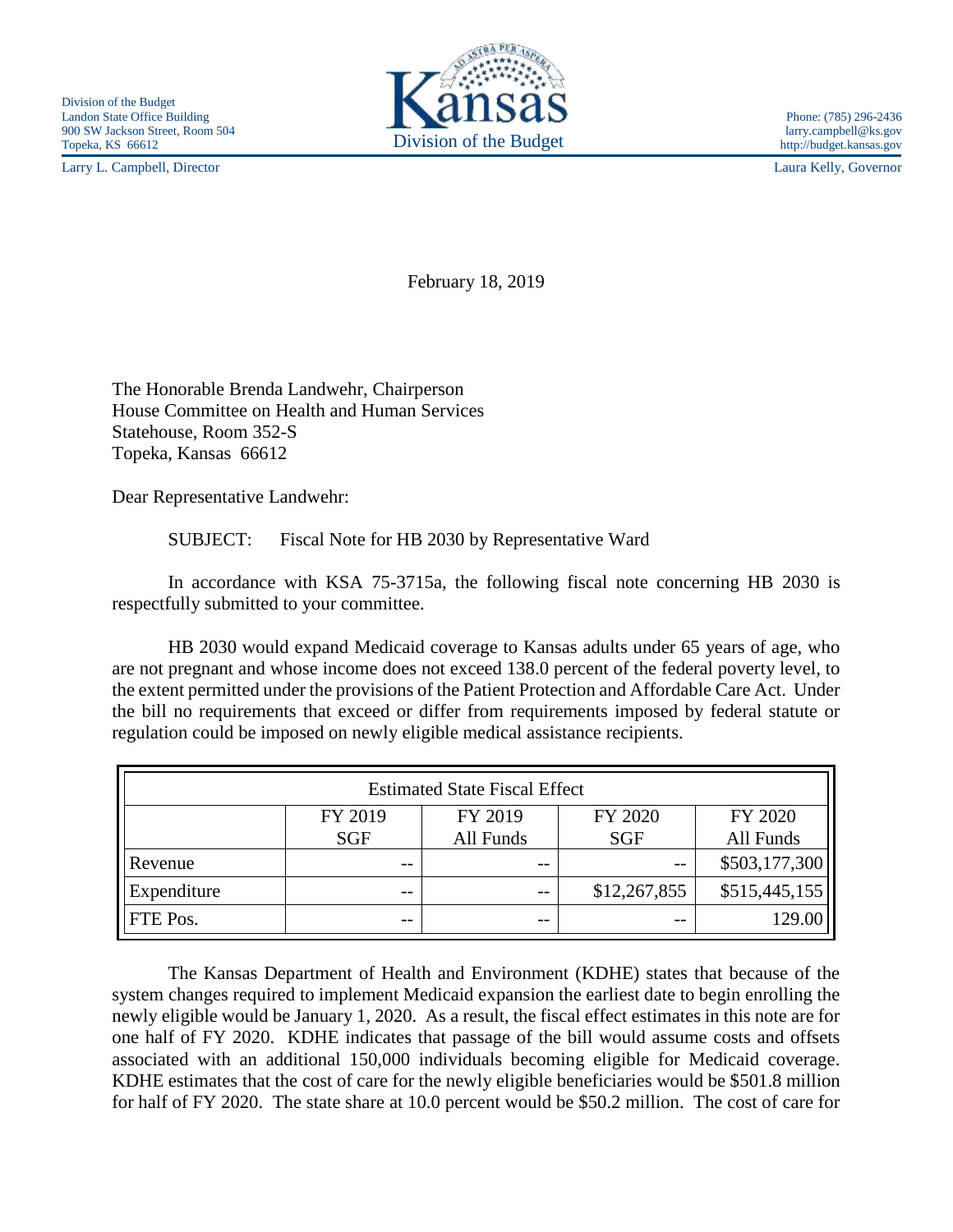Larry L. Campbell, Director Laura Kelly, Governor



February 18, 2019

The Honorable Brenda Landwehr, Chairperson House Committee on Health and Human Services Statehouse, Room 352-S Topeka, Kansas 66612

Dear Representative Landwehr:

SUBJECT: Fiscal Note for HB 2030 by Representative Ward

In accordance with KSA 75-3715a, the following fiscal note concerning HB 2030 is respectfully submitted to your committee.

HB 2030 would expand Medicaid coverage to Kansas adults under 65 years of age, who are not pregnant and whose income does not exceed 138.0 percent of the federal poverty level, to the extent permitted under the provisions of the Patient Protection and Affordable Care Act. Under the bill no requirements that exceed or differ from requirements imposed by federal statute or regulation could be imposed on newly eligible medical assistance recipients.

| <b>Estimated State Fiscal Effect</b> |            |           |              |               |
|--------------------------------------|------------|-----------|--------------|---------------|
|                                      | FY 2019    | FY 2019   | FY 2020      | FY 2020       |
|                                      | <b>SGF</b> | All Funds | <b>SGF</b>   | All Funds     |
| Revenue                              | $- -$      | $ -$      | $ -$         | \$503,177,300 |
| Expenditure                          | $- -$      | $ -$      | \$12,267,855 | \$515,445,155 |
| FTE Pos.                             | --         | $ -$      | $ -$         | 129.00        |

The Kansas Department of Health and Environment (KDHE) states that because of the system changes required to implement Medicaid expansion the earliest date to begin enrolling the newly eligible would be January 1, 2020. As a result, the fiscal effect estimates in this note are for one half of FY 2020. KDHE indicates that passage of the bill would assume costs and offsets associated with an additional 150,000 individuals becoming eligible for Medicaid coverage. KDHE estimates that the cost of care for the newly eligible beneficiaries would be \$501.8 million for half of FY 2020. The state share at 10.0 percent would be \$50.2 million. The cost of care for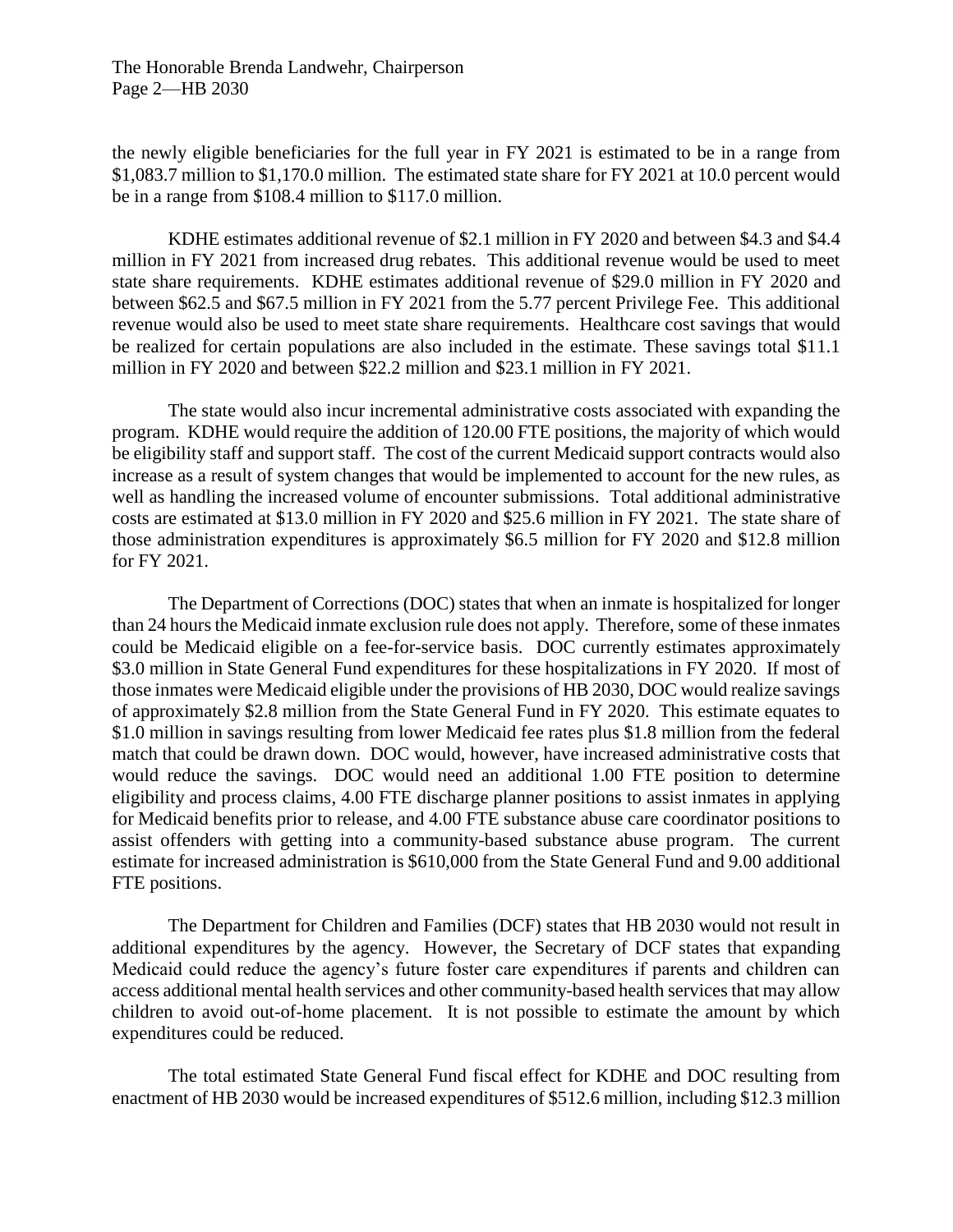The Honorable Brenda Landwehr, Chairperson Page 2—HB 2030

the newly eligible beneficiaries for the full year in FY 2021 is estimated to be in a range from \$1,083.7 million to \$1,170.0 million. The estimated state share for FY 2021 at 10.0 percent would be in a range from \$108.4 million to \$117.0 million.

KDHE estimates additional revenue of \$2.1 million in FY 2020 and between \$4.3 and \$4.4 million in FY 2021 from increased drug rebates. This additional revenue would be used to meet state share requirements. KDHE estimates additional revenue of \$29.0 million in FY 2020 and between \$62.5 and \$67.5 million in FY 2021 from the 5.77 percent Privilege Fee. This additional revenue would also be used to meet state share requirements. Healthcare cost savings that would be realized for certain populations are also included in the estimate. These savings total \$11.1 million in FY 2020 and between \$22.2 million and \$23.1 million in FY 2021.

The state would also incur incremental administrative costs associated with expanding the program. KDHE would require the addition of 120.00 FTE positions, the majority of which would be eligibility staff and support staff. The cost of the current Medicaid support contracts would also increase as a result of system changes that would be implemented to account for the new rules, as well as handling the increased volume of encounter submissions. Total additional administrative costs are estimated at \$13.0 million in FY 2020 and \$25.6 million in FY 2021. The state share of those administration expenditures is approximately \$6.5 million for FY 2020 and \$12.8 million for FY 2021.

The Department of Corrections (DOC) states that when an inmate is hospitalized for longer than 24 hours the Medicaid inmate exclusion rule does not apply. Therefore, some of these inmates could be Medicaid eligible on a fee-for-service basis. DOC currently estimates approximately \$3.0 million in State General Fund expenditures for these hospitalizations in FY 2020. If most of those inmates were Medicaid eligible under the provisions of HB 2030, DOC would realize savings of approximately \$2.8 million from the State General Fund in FY 2020. This estimate equates to \$1.0 million in savings resulting from lower Medicaid fee rates plus \$1.8 million from the federal match that could be drawn down. DOC would, however, have increased administrative costs that would reduce the savings. DOC would need an additional 1.00 FTE position to determine eligibility and process claims, 4.00 FTE discharge planner positions to assist inmates in applying for Medicaid benefits prior to release, and 4.00 FTE substance abuse care coordinator positions to assist offenders with getting into a community-based substance abuse program. The current estimate for increased administration is \$610,000 from the State General Fund and 9.00 additional FTE positions.

The Department for Children and Families (DCF) states that HB 2030 would not result in additional expenditures by the agency. However, the Secretary of DCF states that expanding Medicaid could reduce the agency's future foster care expenditures if parents and children can access additional mental health services and other community-based health services that may allow children to avoid out-of-home placement. It is not possible to estimate the amount by which expenditures could be reduced.

The total estimated State General Fund fiscal effect for KDHE and DOC resulting from enactment of HB 2030 would be increased expenditures of \$512.6 million, including \$12.3 million